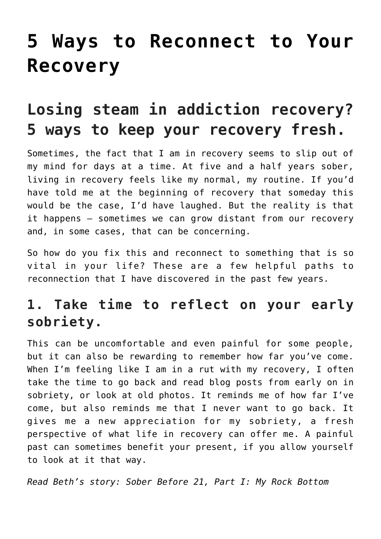# **[5 Ways to Reconnect to Your](https://danielbrooksmoore.com/nowsthetime/2018/11/07/5-ways-to-reconnect-to-your-recovery/) [Recovery](https://danielbrooksmoore.com/nowsthetime/2018/11/07/5-ways-to-reconnect-to-your-recovery/)**

## **Losing steam in addiction recovery? 5 ways to keep your recovery fresh.**

Sometimes, the fact that I am in recovery seems to slip out of my mind for days at a time. At five and a half years sober, [living in recovery](https://www.workithealth.com/blog/sober-before-21-getting-life-back) feels like my normal, my routine. If you'd have told me at the [beginning of recovery](https://www.workithealth.com/blog/sober-before-21-getting-help) that someday this would be the case, I'd have laughed. But the reality is that it happens — sometimes we can grow distant from our recovery and, in some cases, that can be concerning.

So how do you fix this and reconnect to something that is so vital in your life? These are a few helpful paths to reconnection that I have discovered in the past few years.

## **1. Take time to reflect on your early sobriety.**

This can be uncomfortable and even painful for some people, but it can also be rewarding to remember how far you've come. When I'm feeling like I am in a rut with my recovery, I often take the time to go back and read blog posts from early on in sobriety, or look at old photos. It reminds me of how far I've come, but also reminds me that I never want to go back. It gives me a new appreciation for my sobriety, a fresh perspective of what life in recovery can offer me. A painful past can sometimes benefit your present, if you allow yourself to look at it that way.

*[Read Beth's story: Sober Before 21, Part I: My Rock Bottom](https://www.workithealth.com/blog/sober-before-21-rock-bottom)*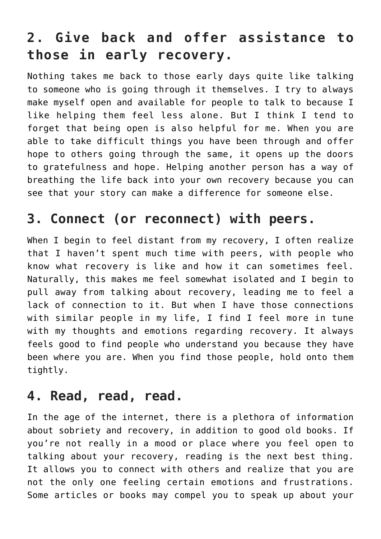## **2. Give back and offer assistance to those in early recovery.**

Nothing takes me back to those early days quite like talking to someone who is going through it themselves. I try to always make myself open and available for people to talk to because I like helping them feel less alone. But I think I tend to forget that being open is also helpful for me. When you are able to take difficult things you have been through and offer hope to others going through the same, it opens up the doors to gratefulness and hope. Helping another person has a way of breathing the life back into your own recovery because you can see that your story can make a difference for someone else.

### **3. Connect (or reconnect) with peers.**

When I begin to feel distant from my recovery, I often realize that I haven't spent much time with peers, with people who know what recovery is like and how it can sometimes feel. Naturally, this makes me feel somewhat isolated and I begin to pull away from talking about recovery, leading me to feel a lack of connection to it. But when I have those [connections](https://www.workithealth.com/blog/sober-friends-quit-drinking) [with similar people](https://www.workithealth.com/blog/sober-friends-quit-drinking) in my life, I find I feel more in tune with my thoughts and emotions regarding recovery. It always feels good to find people who understand you because they have been where you are. When you find those people, hold onto them tightly.

#### **4. Read, read, read.**

In the age of the internet, there is a plethora of information about sobriety and recovery, in addition to good old books. If you're not really in a mood or place where you feel open to talking about your recovery, reading is the next best thing. It allows you to connect with others and realize that you are not the only one feeling certain emotions and frustrations. Some articles or books may compel you to [speak up about your](https://www.workithealth.com/blog/stories-of-recovery-why-they-matter)